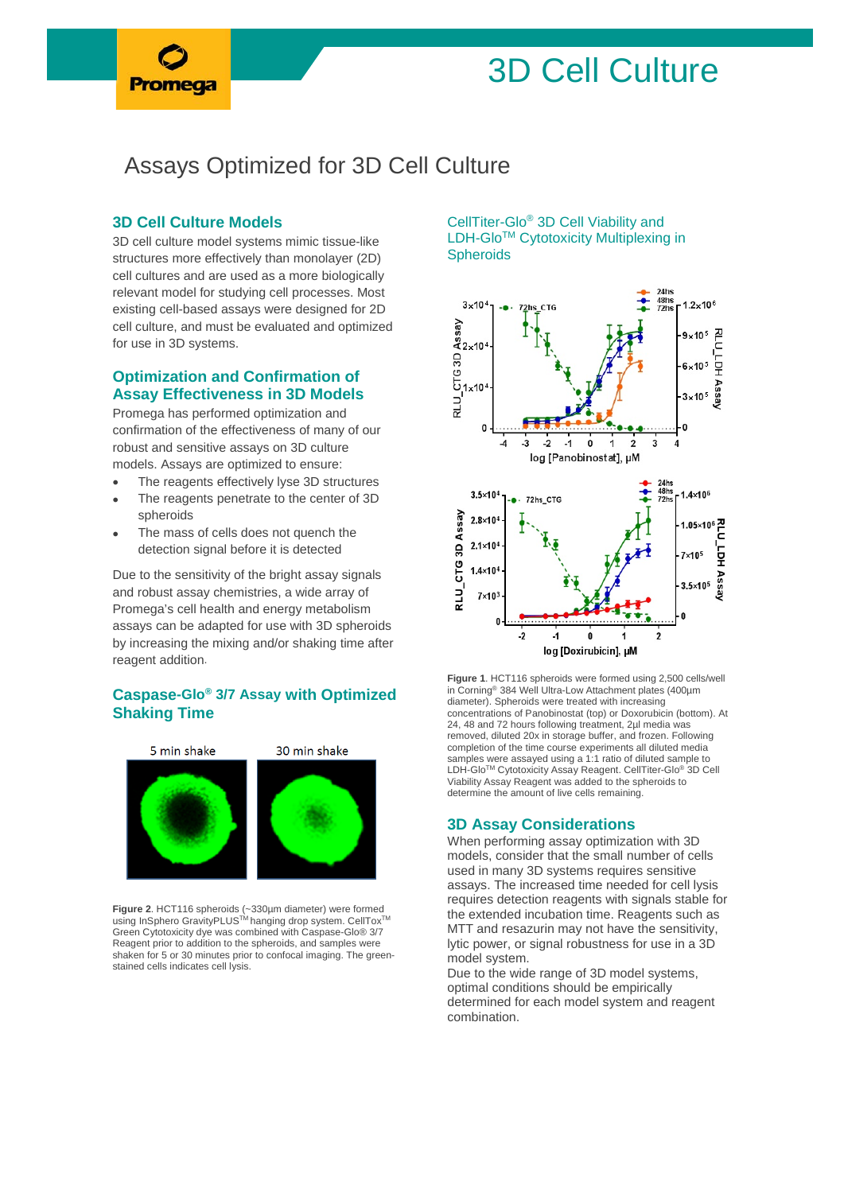# 3D Cell Culture

# Assays Optimized for 3D Cell Culture

#### **3D Cell Culture Models**

3D cell culture model systems mimic tissue-like structures more effectively than monolayer (2D) cell cultures and are used as a more biologically relevant model for studying cell processes. Most existing cell-based assays were designed for 2D cell culture, and must be evaluated and optimized for use in 3D systems.

#### **Optimization and Confirmation of Assay Effectiveness in 3D Models**

Promega has performed optimization and confirmation of the effectiveness of many of our robust and sensitive assays on 3D culture models. Assays are optimized to ensure:

- The reagents effectively lyse 3D structures
- The reagents penetrate to the center of 3D spheroids
- The mass of cells does not quench the detection signal before it is detected

Due to the sensitivity of the bright assay signals and robust assay chemistries, a wide array of Promega's cell health and energy metabolism assays can be adapted for use with 3D spheroids by increasing the mixing and/or shaking time after reagent addition.

## **[Caspase-Glo®](https://ch.promega.com/Products/Cell-Health-Assays/Apoptosis-Assays/Caspase_Glo-3_7-Assay-Systems/?fq=caspase-glo%203%207%20assay&catNum=G8090) 3/7 Assay with Optimized Shaking Time**



**Figure 2**. HCT116 spheroids (~330μm diameter) were formed<br>using InSphero GravityPLUS™ hanging drop system. CellTox™ Green Cytotoxicity dye was combined with Caspase-Glo® 3/7 Reagent prior to addition to the spheroids, and samples were shaken for 5 or 30 minutes prior to confocal imaging. The greenstained cells indicates cell lysis.

#### [CellTiter-Glo®](https://ch.promega.com/Products/Cell-Health-Assays/Cell-Viability-and-Cytotoxicity-Assays/CellTiter_Glo-3D-Cell-Viability-Assay/?fq=cell%20titer%20glo&catNum=G9681) 3D Cell Viability and LDH-Glo<sup>™</sup> Cytotoxicity Multiplexing in **Spheroids**



**Figure 1**. HCT116 spheroids were formed using 2,500 cells/well in Corning® 384 Well Ultra-Low Attachment plates (400µm diameter). Spheroids were treated with increasing concentrations of Panobinostat (top) or Doxorubicin (bottom). At 24, 48 and 72 hours following treatment, 2µl media was removed, diluted 20x in storage buffer, and frozen. Following completion of the time course experiments all diluted media samples were assayed using a 1:1 ratio of diluted sample to<br>LDH-Glo™ Cytotoxicity Assay Reagent. CellTiter-Glo® 3D Cell Viability Assay Reagent was added to the spheroids to determine the amount of live cells remaining.

#### **3D Assay Considerations**

When performing assay optimization with 3D models, consider that the small number of cells used in many 3D systems requires sensitive assays. The increased time needed for cell lysis requires detection reagents with signals stable for the extended incubation time. Reagents such as MTT and resazurin may not have the sensitivity, lytic power, or signal robustness for use in a 3D model system.

Due to the wide range of 3D model systems, optimal conditions should be empirically determined for each model system and reagent combination.